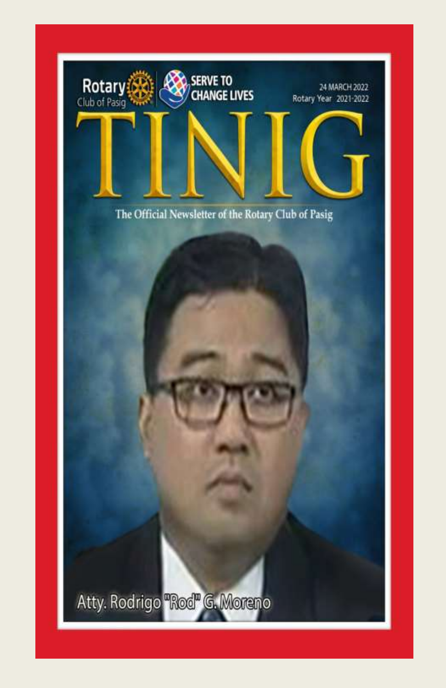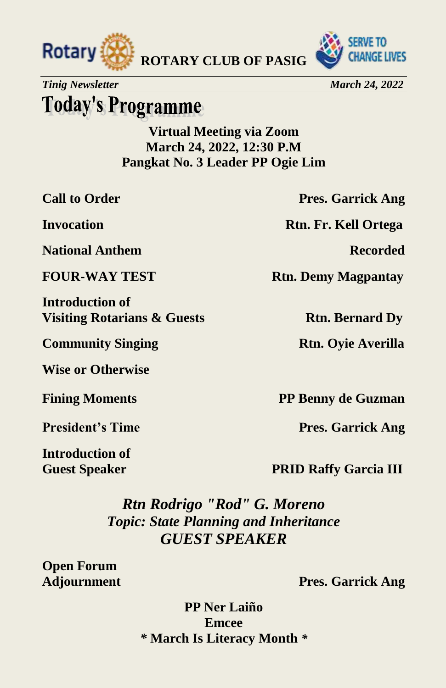



*Tinig Newsletter* March 24, 2022

# **Today's Programme**

**Virtual Meeting via Zoom March 24, 2022, 12:30 P.M Pangkat No. 3 Leader PP Ogie Lim**

**National Anthem Recorded**

**Introduction of Visiting Rotarians & Guests Rtn. Bernard Dy** 

**Community Singing Rtn. Oyie Averilla** 

**Wise or Otherwise** 

**Introduction of**

**Call to Order Pres. Garrick Ang** 

**Invocation Rtn. Fr. Kell Ortega**

**FOUR-WAY TEST** Rtn. Demy Magpantay

**Fining Moments** PP Benny de Guzman

**President's Time Pres. Garrick Ang** 

**Guest Speaker PRID Raffy Garcia III** 

*Rtn Rodrigo "Rod" G. Moreno Topic: State Planning and Inheritance GUEST SPEAKER*

**Open Forum**

**Adjournment Pres. Garrick Ang**

**PP Ner Laiño Emcee** *\** **March Is Literacy Month** *\**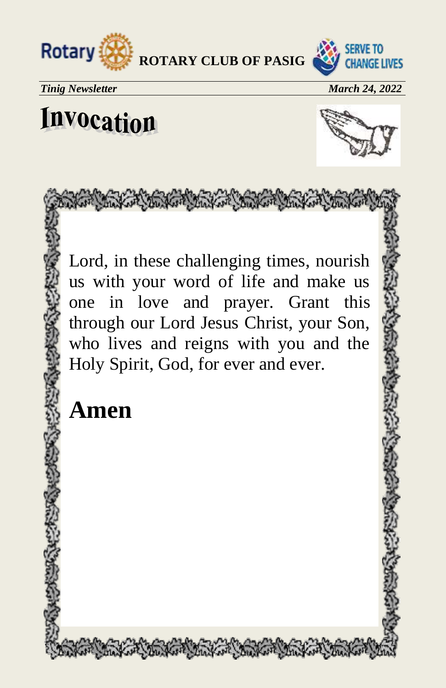



**Tinig Newsletter March 24, 2022** 

# Invocation



Lord, in these challenging times, nourish us with your word of life and make us one in love and prayer. Grant this through our Lord Jesus Christ, your Son, who lives and reigns with you and the Holy Spirit, God, for ever and ever.

Sure the sure were the first first

# **Amen**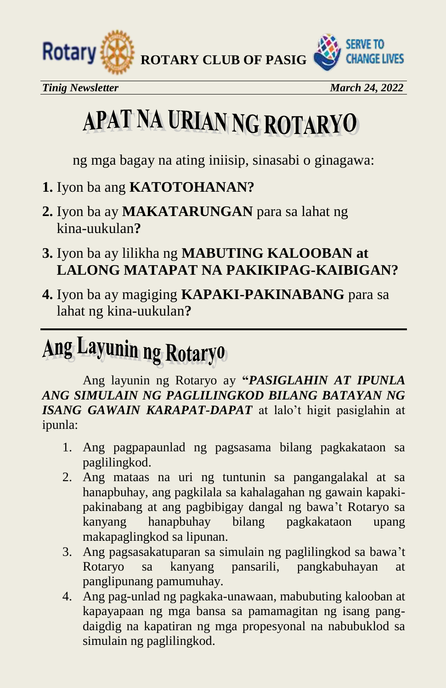

*Tinig Newsletter* March 24, 2022

# APAT NA URIAN NG ROTARYO

ng mga bagay na ating iniisip, sinasabi o ginagawa:

- **1.** Iyon ba ang **KATOTOHANAN?**
- **2.** Iyon ba ay **MAKATARUNGAN** para sa lahat ng kina-uukulan**?**
- **3.** Iyon ba ay lilikha ng **MABUTING KALOOBAN at LALONG MATAPAT NA PAKIKIPAG-KAIBIGAN?**
- **4.** Iyon ba ay magiging **KAPAKI-PAKINABANG** para sa lahat ng kina-uukulan**?**

# Ang Layunin ng Rotaryo

Ang layunin ng Rotaryo ay **"***PASIGLAHIN AT IPUNLA ANG SIMULAIN NG PAGLILINGKOD BILANG BATAYAN NG ISANG GAWAIN KARAPAT-DAPAT* at lalo't higit pasiglahin at ipunla:

- 1. Ang pagpapaunlad ng pagsasama bilang pagkakataon sa paglilingkod.
- 2. Ang mataas na uri ng tuntunin sa pangangalakal at sa hanapbuhay, ang pagkilala sa kahalagahan ng gawain kapakipakinabang at ang pagbibigay dangal ng bawa't Rotaryo sa kanyang hanapbuhay bilang pagkakataon upang makapaglingkod sa lipunan.
- 3. Ang pagsasakatuparan sa simulain ng paglilingkod sa bawa't Rotaryo sa kanyang pansarili, pangkabuhayan at panglipunang pamumuhay.
- 4. Ang pag-unlad ng pagkaka-unawaan, mabubuting kalooban at kapayapaan ng mga bansa sa pamamagitan ng isang pangdaigdig na kapatiran ng mga propesyonal na nabubuklod sa simulain ng paglilingkod.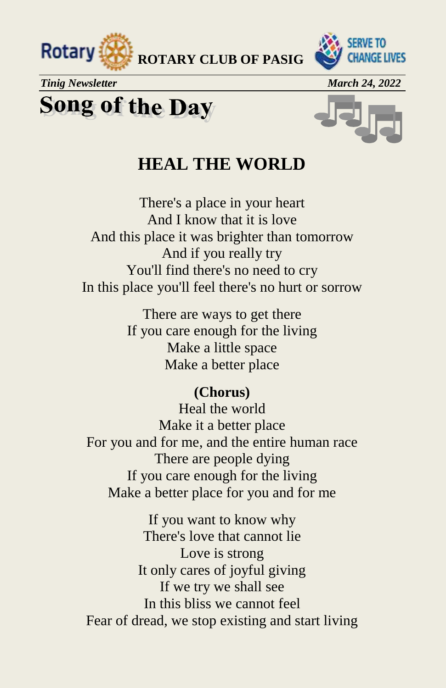

*Tinig Newsletter* March 24, 2022

# **Song of the Day**



#### **HEAL THE WORLD**

 **ROTARY CLUB OF PASIG**

There's a place in your heart And I know that it is love And this place it was brighter than tomorrow And if you really try You'll find there's no need to cry In this place you'll feel there's no hurt or sorrow

> There are ways to get there If you care enough for the living Make a little space Make a better place

#### **(Chorus)**

Heal the world Make it a better place For you and for me, and the entire human race There are people dying If you care enough for the living Make a better place for you and for me

If you want to know why There's love that cannot lie Love is strong It only cares of joyful giving If we try we shall see In this bliss we cannot feel Fear of dread, we stop existing and start living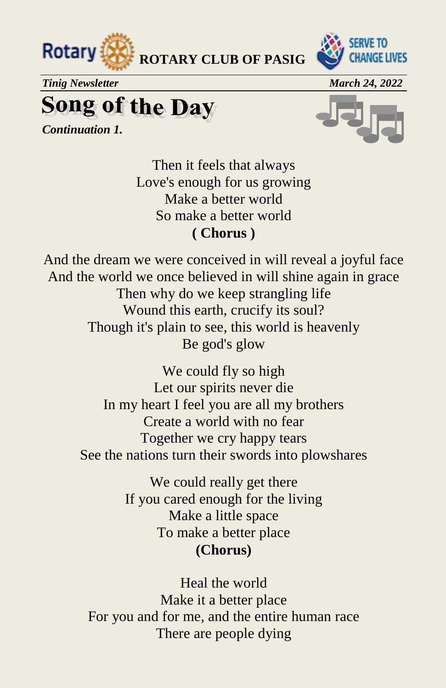



*Tinig Newsletter* March 24, 2022

**Song of the Day** 

*Continuation 1.*



Then it feels that always Love's enough for us growing Make a better world So make a better world **( Chorus )**

And the dream we were conceived in will reveal a joyful face And the world we once believed in will shine again in grace Then why do we keep strangling life Wound this earth, crucify its soul? Though it's plain to see, this world is heavenly Be god's glow

> We could fly so high Let our spirits never die In my heart I feel you are all my brothers Create a world with no fear Together we cry happy tears See the nations turn their swords into plowshares

> > We could really get there If you cared enough for the living Make a little space To make a better place **(Chorus)**

Heal the world Make it a better place For you and for me, and the entire human race There are people dying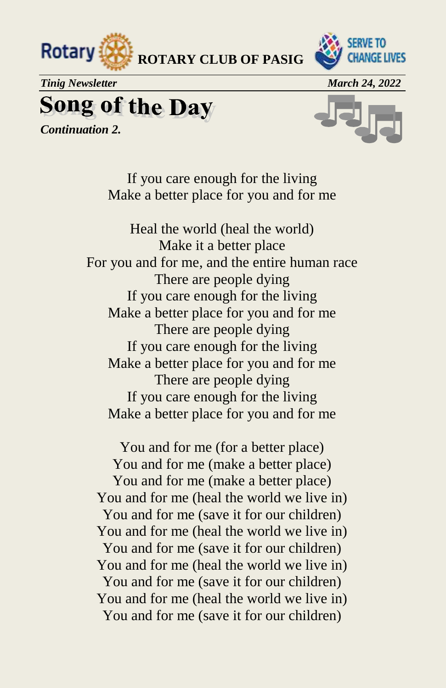



*Tinig Newsletter* March 24, 2022

**Song of the Day** 

*Continuation 2.*



If you care enough for the living Make a better place for you and for me

Heal the world (heal the world) Make it a better place For you and for me, and the entire human race There are people dying If you care enough for the living Make a better place for you and for me There are people dying If you care enough for the living Make a better place for you and for me There are people dying If you care enough for the living Make a better place for you and for me

You and for me (for a better place) You and for me (make a better place) You and for me (make a better place) You and for me (heal the world we live in) You and for me (save it for our children) You and for me (heal the world we live in) You and for me (save it for our children) You and for me (heal the world we live in) You and for me (save it for our children) You and for me (heal the world we live in) You and for me (save it for our children)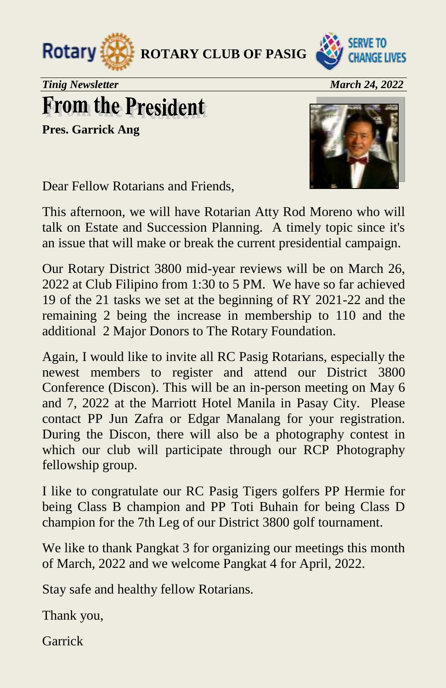



*Tinig Newsletter March 24, 2022* 

# **From the President**

**Pres. Garrick Ang**



Dear Fellow Rotarians and Friends,

This afternoon, we will have Rotarian Atty Rod Moreno who will talk on Estate and Succession Planning. A timely topic since it's an issue that will make or break the current presidential campaign.

Our Rotary District 3800 mid-year reviews will be on March 26, 2022 at Club Filipino from 1:30 to 5 PM. We have so far achieved 19 of the 21 tasks we set at the beginning of RY 2021-22 and the remaining 2 being the increase in membership to 110 and the additional 2 Major Donors to The Rotary Foundation.

Again, I would like to invite all RC Pasig Rotarians, especially the newest members to register and attend our District 3800 Conference (Discon). This will be an in-person meeting on May 6 and 7, 2022 at the Marriott Hotel Manila in Pasay City. Please contact PP Jun Zafra or Edgar Manalang for your registration. During the Discon, there will also be a photography contest in which our club will participate through our RCP Photography fellowship group.

I like to congratulate our RC Pasig Tigers golfers PP Hermie for being Class B champion and PP Toti Buhain for being Class D champion for the 7th Leg of our District 3800 golf tournament.

We like to thank Pangkat 3 for organizing our meetings this month of March, 2022 and we welcome Pangkat 4 for April, 2022.

Stay safe and healthy fellow Rotarians.

Thank you,

Garrick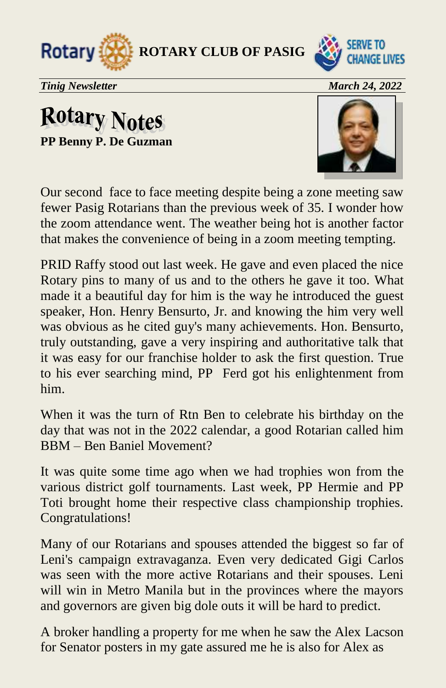



*Tinig Newsletter* March 24, 2022

## **Rotary Notes PP Benny P. De Guzman**



Our second face to face meeting despite being a zone meeting saw fewer Pasig Rotarians than the previous week of 35. I wonder how the zoom attendance went. The weather being hot is another factor that makes the convenience of being in a zoom meeting tempting.

PRID Raffy stood out last week. He gave and even placed the nice Rotary pins to many of us and to the others he gave it too. What made it a beautiful day for him is the way he introduced the guest speaker, Hon. Henry Bensurto, Jr. and knowing the him very well was obvious as he cited guy's many achievements. Hon. Bensurto, truly outstanding, gave a very inspiring and authoritative talk that it was easy for our franchise holder to ask the first question. True to his ever searching mind, PP Ferd got his enlightenment from him.

When it was the turn of Rtn Ben to celebrate his birthday on the day that was not in the 2022 calendar, a good Rotarian called him BBM – Ben Baniel Movement?

It was quite some time ago when we had trophies won from the various district golf tournaments. Last week, PP Hermie and PP Toti brought home their respective class championship trophies. Congratulations!

Many of our Rotarians and spouses attended the biggest so far of Leni's campaign extravaganza. Even very dedicated Gigi Carlos was seen with the more active Rotarians and their spouses. Leni will win in Metro Manila but in the provinces where the mayors and governors are given big dole outs it will be hard to predict.

A broker handling a property for me when he saw the Alex Lacson for Senator posters in my gate assured me he is also for Alex as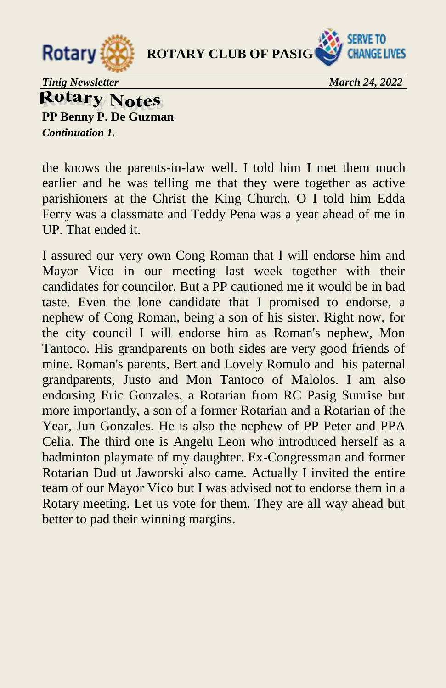



*Tinig Newsletter* March 24, 2022

**Rotary Notes PP Benny P. De Guzman** 

*Continuation 1.* 

the knows the parents-in-law well. I told him I met them much earlier and he was telling me that they were together as active parishioners at the Christ the King Church. O I told him Edda Ferry was a classmate and Teddy Pena was a year ahead of me in UP. That ended it.

I assured our very own Cong Roman that I will endorse him and Mayor Vico in our meeting last week together with their candidates for councilor. But a PP cautioned me it would be in bad taste. Even the lone candidate that I promised to endorse, a nephew of Cong Roman, being a son of his sister. Right now, for the city council I will endorse him as Roman's nephew, Mon Tantoco. His grandparents on both sides are very good friends of mine. Roman's parents, Bert and Lovely Romulo and his paternal grandparents, Justo and Mon Tantoco of Malolos. I am also endorsing Eric Gonzales, a Rotarian from RC Pasig Sunrise but more importantly, a son of a former Rotarian and a Rotarian of the Year, Jun Gonzales. He is also the nephew of PP Peter and PPA Celia. The third one is Angelu Leon who introduced herself as a badminton playmate of my daughter. Ex-Congressman and former Rotarian Dud ut Jaworski also came. Actually I invited the entire team of our Mayor Vico but I was advised not to endorse them in a Rotary meeting. Let us vote for them. They are all way ahead but better to pad their winning margins.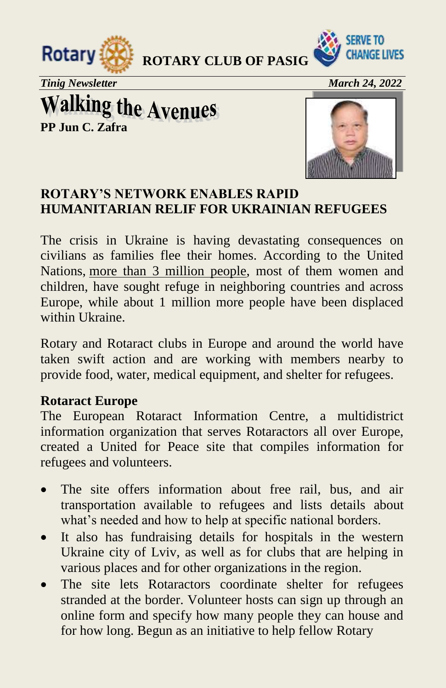



*Tinig Newsletter* March 24, 2022 *March 24, 2022* 

**Walking the Avenues**<br>PP Jun C. Zafra



#### **ROTARY'S NETWORK ENABLES RAPID HUMANITARIAN RELIF FOR UKRAINIAN REFUGEES**

The crisis in Ukraine is having devastating consequences on civilians as families flee their homes. According to the United Nations, [more than 3 million people,](https://data2.unhcr.org/en/situations/ukraine) most of them women and children, have sought refuge in neighboring countries and across Europe, while about 1 million more people have been displaced within Ukraine.

Rotary and Rotaract clubs in Europe and around the world have taken swift action and are working with members nearby to provide food, water, medical equipment, and shelter for refugees.

#### **Rotaract Europe**

The European Rotaract Information Centre, a multidistrict information organization that serves Rotaractors all over Europe, created a United for Peace site that compiles information for refugees and volunteers.

- The site offers information about free rail, bus, and air transportation available to refugees and lists details about what's needed and how to help at specific national borders.
- It also has fundraising details for hospitals in the western Ukraine city of Lviv, as well as for clubs that are helping in various places and for other organizations in the region.
- The site lets Rotaractors coordinate shelter for refugees stranded at the border. Volunteer hosts can sign up through an online form and specify how many people they can house and for how long. Begun as an initiative to help fellow Rotary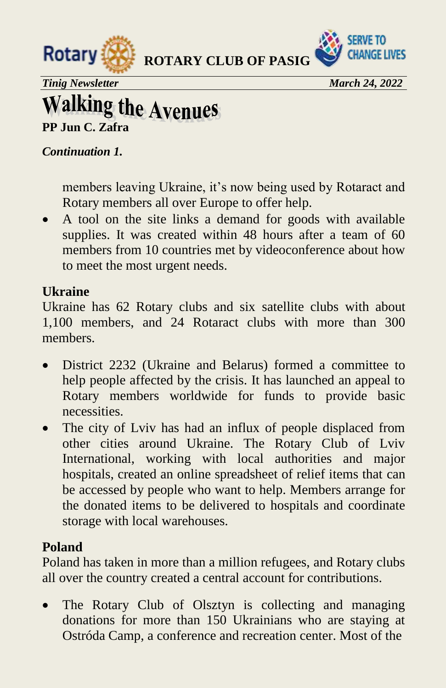



*Tinig Newsletter* March 24, 2022 *March 24, 2022* 

# **Walking the Avenues**

**PP Jun C. Zafra**

#### *Continuation 1.*

members leaving Ukraine, it's now being used by Rotaract and Rotary members all over Europe to offer help.

 A tool on the site links a demand for goods with available supplies. It was created within 48 hours after a team of 60 members from 10 countries met by videoconference about how to meet the most urgent needs.

#### **Ukraine**

Ukraine has 62 Rotary clubs and six satellite clubs with about 1,100 members, and 24 Rotaract clubs with more than 300 members.

- District 2232 (Ukraine and Belarus) formed a committee to help people affected by the crisis. It has launched an appeal to Rotary members worldwide for funds to provide basic necessities.
- The city of Lviv has had an influx of people displaced from other cities around Ukraine. The Rotary Club of Lviv International, working with local authorities and major hospitals, created an online spreadsheet of relief items that can be accessed by people who want to help. Members arrange for the donated items to be delivered to hospitals and coordinate storage with local warehouses.

#### **Poland**

Poland has taken in more than a million refugees, and Rotary clubs all over the country created a central account for contributions.

 The Rotary Club of Olsztyn is collecting and managing donations for more than 150 Ukrainians who are staying at Ostróda Camp, a conference and recreation center. Most of the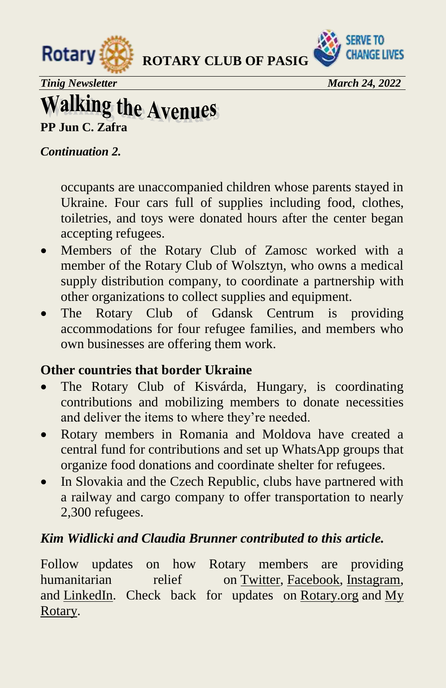



*Tinig Newsletter* March 24, 2022

# **Walking the Avenues**<br>PP Jun C. Zafra

#### *Continuation 2.*

occupants are unaccompanied children whose parents stayed in Ukraine. Four cars full of supplies including food, clothes, toiletries, and toys were donated hours after the center began accepting refugees.

- Members of the Rotary Club of Zamosc worked with a member of the Rotary Club of Wolsztyn, who owns a medical supply distribution company, to coordinate a partnership with other organizations to collect supplies and equipment.
- The Rotary Club of Gdansk Centrum is providing accommodations for four refugee families, and members who own businesses are offering them work.

#### **Other countries that border Ukraine**

- The Rotary Club of Kisvárda, Hungary, is coordinating contributions and mobilizing members to donate necessities and deliver the items to where they're needed.
- Rotary members in Romania and Moldova have created a central fund for contributions and set up WhatsApp groups that organize food donations and coordinate shelter for refugees.
- In Slovakia and the Czech Republic, clubs have partnered with a railway and cargo company to offer transportation to nearly 2,300 refugees.

#### *Kim Widlicki and Claudia Brunner contributed to this article.*

Follow updates on how Rotary members are providing humanitarian relief on [Twitter,](https://twitter.com/rotary) [Facebook,](https://www.facebook.com/rotary/) [Instagram,](https://www.instagram.com/rotaryinternational/) and [LinkedIn.](https://www.linkedin.com/company/rotary-international) Check back for updates on [Rotary.org](https://rotary.org/en) and [My](https://my.rotary.org/en/)  [Rotary.](https://my.rotary.org/en/)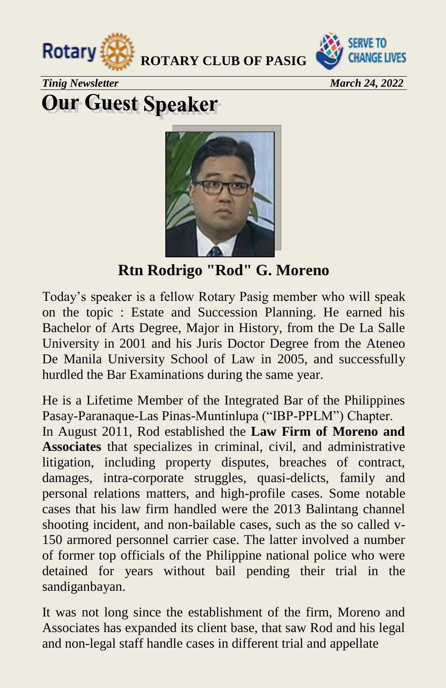



**Tinig Newsletter March 24, 2022** 

# **Our Guest Speaker**

**Rtn Rodrigo "Rod" G. Moreno** 

Today's speaker is a fellow Rotary Pasig member who will speak on the topic : Estate and Succession Planning. He earned his Bachelor of Arts Degree, Major in History, from the De La Salle University in 2001 and his Juris Doctor Degree from the Ateneo De Manila University School of Law in 2005, and successfully hurdled the Bar Examinations during the same year.

He is a Lifetime Member of the Integrated Bar of the Philippines Pasay-Paranaque-Las Pinas-Muntinlupa ("IBP-PPLM") Chapter. In August 2011, Rod established the **Law Firm of Moreno and Associates** that specializes in criminal, civil, and administrative litigation, including property disputes, breaches of contract, damages, intra-corporate struggles, quasi-delicts, family and personal relations matters, and high-profile cases. Some notable cases that his law firm handled were the 2013 Balintang channel shooting incident, and non-bailable cases, such as the so called v-150 armored personnel carrier case. The latter involved a number of former top officials of the Philippine national police who were detained for years without bail pending their trial in the sandiganbayan.

It was not long since the establishment of the firm, Moreno and Associates has expanded its client base, that saw Rod and his legal and non-legal staff handle cases in different trial and appellate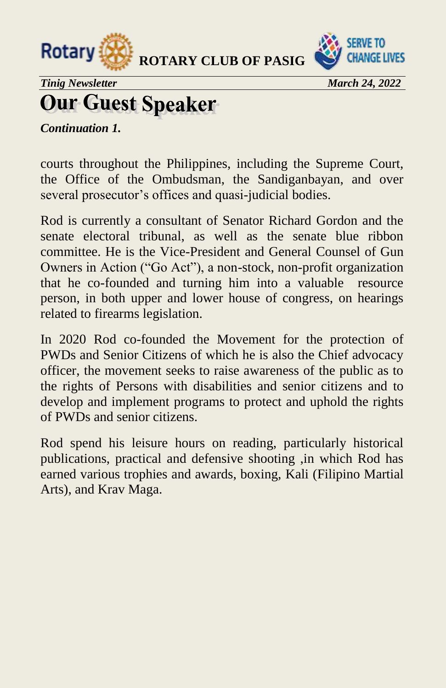



*Tinig Newsletter* March 24, 2022

# **Our Guest Speaker**

*Continuation 1.* 

courts throughout the Philippines, including the Supreme Court, the Office of the Ombudsman, the Sandiganbayan, and over several prosecutor's offices and quasi-judicial bodies.

Rod is currently a consultant of Senator Richard Gordon and the senate electoral tribunal, as well as the senate blue ribbon committee. He is the Vice-President and General Counsel of Gun Owners in Action ("Go Act"), a non-stock, non-profit organization that he co-founded and turning him into a valuable resource person, in both upper and lower house of congress, on hearings related to firearms legislation.

In 2020 Rod co-founded the Movement for the protection of PWDs and Senior Citizens of which he is also the Chief advocacy officer, the movement seeks to raise awareness of the public as to the rights of Persons with disabilities and senior citizens and to develop and implement programs to protect and uphold the rights of PWDs and senior citizens.

Rod spend his leisure hours on reading, particularly historical publications, practical and defensive shooting ,in which Rod has earned various trophies and awards, boxing, Kali (Filipino Martial Arts), and Krav Maga.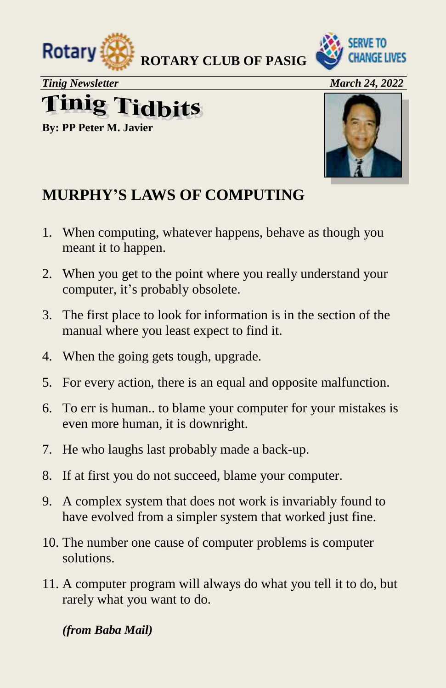



*Tinig Newsletter* March 24, 2022 **finig Tidbits** 

**By: PP Peter M. Javier** 



#### **MURPHY'S LAWS OF COMPUTING**

- 1. When computing, whatever happens, behave as though you meant it to happen.
- 2. When you get to the point where you really understand your computer, it's probably obsolete.
- 3. The first place to look for information is in the section of the manual where you least expect to find it.
- 4. When the going gets tough, upgrade.
- 5. For every action, there is an equal and opposite malfunction.
- 6. To err is human.. to blame your computer for your mistakes is even more human, it is downright.
- 7. He who laughs last probably made a back-up.
- 8. If at first you do not succeed, blame your computer.
- 9. A complex system that does not work is invariably found to have evolved from a simpler system that worked just fine.
- 10. The number one cause of computer problems is computer solutions.
- 11. A computer program will always do what you tell it to do, but rarely what you want to do.

*(from Baba Mail)*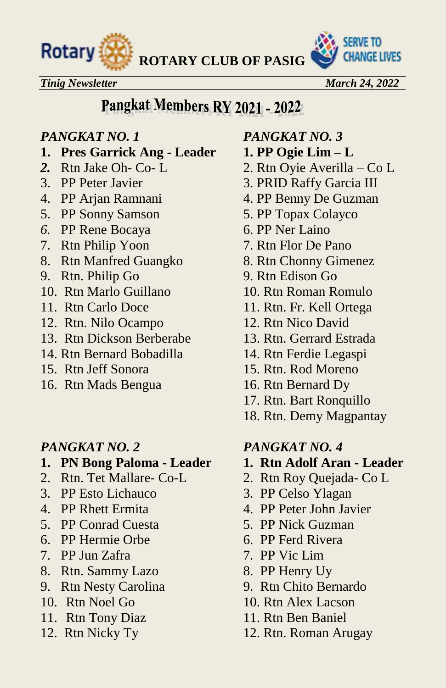



#### *Tinig Newsletter* March 24, 2022

## Pangkat Members RY 2021 - 2022

#### *PANGKAT NO. 1 PANGKAT NO. 3*

- **1. Pres Garrick Ang Leader 1. PP Ogie Lim – L**
- 
- 
- 
- 5. PP Sonny Samson 5. PP Topax Colayco
- *6.* PP Rene Bocaya 6. PP Ner Laino
- 7. Rtn Philip Yoon 7. Rtn Flor De Pano
- 8. Rtn Manfred Guangko 8. Rtn Chonny Gimenez
- 9. Rtn. Philip Go 9. Rtn Edison Go
- 10. Rtn Marlo Guillano 10. Rtn Roman Romulo
- 
- 12. Rtn. Nilo Ocampo 12. Rtn Nico David
- 13. Rtn Dickson Berberabe 13. Rtn. Gerrard Estrada
- 14. Rtn Bernard Bobadilla 14. Rtn Ferdie Legaspi
- 
- 16. Rtn Mads Bengua 16. Rtn Bernard Dy

- 1. PN Bong Paloma Leader 1. Rtn Adolf Aran Leader
- 
- 3. PP Esto Lichauco 3. PP Celso Ylagan
- 
- 5. PP Conrad Cuesta 5. PP Nick Guzman
- 6. PP Hermie Orbe 6. PP Ferd Rivera
- 7. PP Jun Zafra 7. PP Vic Lim
- 8. Rtn. Sammy Lazo 8. PP Henry Uy
- 9. Rtn Nesty Carolina 9. Rtn Chito Bernardo
- 
- 11. Rtn Tony Diaz 11. Rtn Ben Baniel
- 

- 
- *2.* Rtn Jake Oh- Co- L 2. Rtn Oyie Averilla Co L
- 3. PP Peter Javier 3. PRID Raffy Garcia III
- 4. PP Arjan Ramnani 4. PP Benny De Guzman
	-
	-
	-
	-
	-
	-
- 11. Rtn Carlo Doce 11. Rtn. Fr. Kell Ortega
	-
	-
	-
- 15. Rtn Jeff Sonora 15. Rtn. Rod Moreno
	-
	- 17. Rtn. Bart Ronquillo
	- 18. Rtn. Demy Magpantay

#### *PANGKAT NO. 2 PANGKAT NO. 4*

- 
- 2. Rtn. Tet Mallare- Co-L 2. Rtn Roy Quejada- Co L
	-
- 4. PP Rhett Ermita 4. PP Peter John Javier
	-
	-
	-
	-
	-
- 10. Rtn Noel Go 10. Rtn Alex Lacson
	-
- 12. Rtn Nicky Ty 12. Rtn. Roman Arugay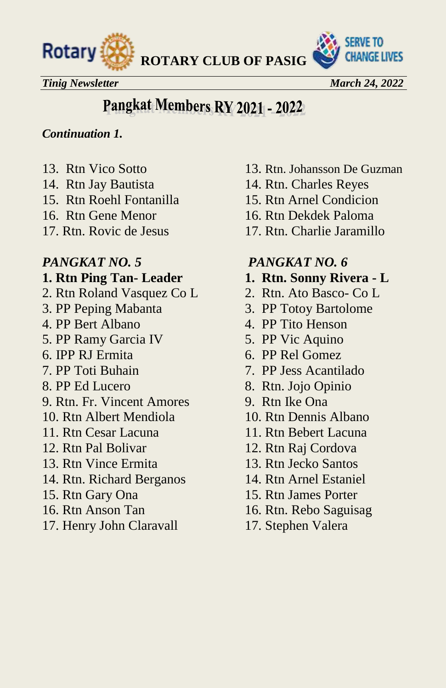



*Tinig Newsletter* March 24, 2022 *March 24, 2022* 

## Pangkat Members RY 2021 - 2022

#### *Continuation 1.*

- 
- 
- 15. Rtn Roehl Fontanilla 15. Rtn Arnel Condicion
- 
- 

- 2. Rtn Roland Vasquez Co L 2. Rtn. Ato Basco- Co L
- 
- 
- 5. PP Ramy Garcia IV 5. PP Vic Aquino
- 
- 
- 
- 9. Rtn. Fr. Vincent Amores 9. Rtn Ike Ona
- 
- 
- 
- 13. Rtn Vince Ermita 13. Rtn Jecko Santos
- 14. Rtn. Richard Berganos 14. Rtn Arnel Estaniel
- 
- 
- 17. Henry John Claravall 17. Stephen Valera
- 13. Rtn Vico Sotto 13. Rtn. Johansson De Guzman
- 14. Rtn Jay Bautista 14. Rtn. Charles Reyes
	-
- 16. Rtn Gene Menor 16. Rtn Dekdek Paloma
- 17. Rtn. Rovic de Jesus 17. Rtn. Charlie Jaramillo

#### *PANGKAT NO. 5 PANGKAT NO. 6*

- **1. Rtn Ping Tan-Leader 1. Rtn. Sonny Rivera L** 
	-
- 3. PP Peping Mabanta 3. PP Totoy Bartolome
- 4. PP Bert Albano 4. PP Tito Henson
	-
- 6. IPP RJ Ermita 6. PP Rel Gomez
- 7. PP Toti Buhain 7. PP Jess Acantilado
- 8. PP Ed Lucero 8. Rtn. Jojo Opinio
	-
- 10. Rtn Albert Mendiola 10. Rtn Dennis Albano
- 11. Rtn Cesar Lacuna 11. Rtn Bebert Lacuna
- 12. Rtn Pal Bolivar 12. Rtn Raj Cordova
	-
	-
- 15. Rtn Gary Ona 15. Rtn James Porter
- 16. Rtn Anson Tan 16. Rtn. Rebo Saguisag
	-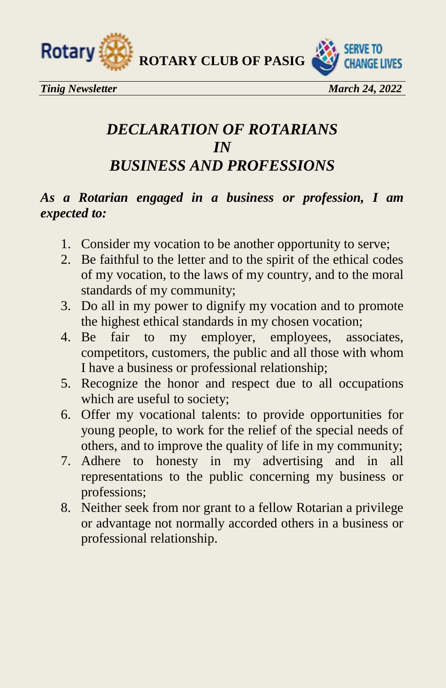



*Tinig Newsletter* March 24, 2022

#### *DECLARATION OF ROTARIANS IN BUSINESS AND PROFESSIONS*

#### *As a Rotarian engaged in a business or profession, I am expected to:*

- 1. Consider my vocation to be another opportunity to serve;
- 2. Be faithful to the letter and to the spirit of the ethical codes of my vocation, to the laws of my country, and to the moral standards of my community;
- 3. Do all in my power to dignify my vocation and to promote the highest ethical standards in my chosen vocation;
- 4. Be fair to my employer, employees, associates, competitors, customers, the public and all those with whom I have a business or professional relationship;
- 5. Recognize the honor and respect due to all occupations which are useful to society;
- 6. Offer my vocational talents: to provide opportunities for young people, to work for the relief of the special needs of others, and to improve the quality of life in my community;
- 7. Adhere to honesty in my advertising and in all representations to the public concerning my business or professions;
- 8. Neither seek from nor grant to a fellow Rotarian a privilege or advantage not normally accorded others in a business or professional relationship.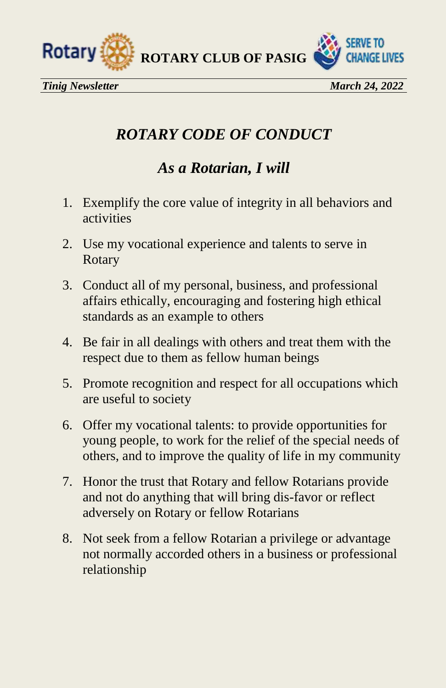



#### *ROTARY CODE OF CONDUCT*

#### *As a Rotarian, I will*

- 1. Exemplify the core value of integrity in all behaviors and activities
- 2. Use my vocational experience and talents to serve in Rotary
- 3. Conduct all of my personal, business, and professional affairs ethically, encouraging and fostering high ethical standards as an example to others
- 4. Be fair in all dealings with others and treat them with the respect due to them as fellow human beings
- 5. Promote recognition and respect for all occupations which are useful to society
- 6. Offer my vocational talents: to provide opportunities for young people, to work for the relief of the special needs of others, and to improve the quality of life in my community
- 7. Honor the trust that Rotary and fellow Rotarians provide and not do anything that will bring dis-favor or reflect adversely on Rotary or fellow Rotarians
- 8. Not seek from a fellow Rotarian a privilege or advantage not normally accorded others in a business or professional relationship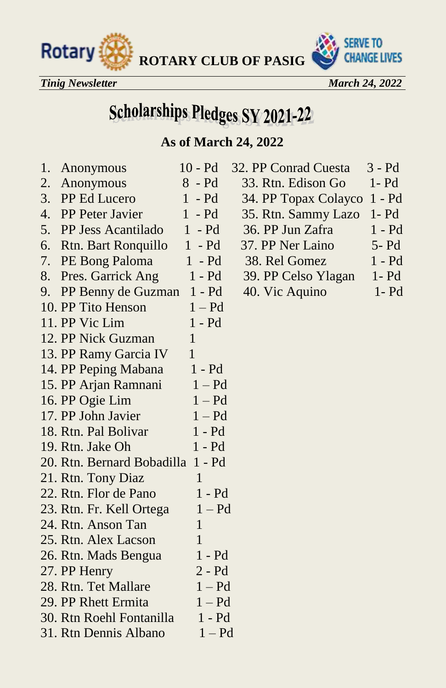



*Tinig Newsletter March 24, 2022* 

# **Scholarships Pledges SY 2021-22**

#### **As of March 24, 2022**

| 1. | Anonymous                         | $10 - Pd$    | 32. PP Conrad Cuesta | 3 - Pd   |
|----|-----------------------------------|--------------|----------------------|----------|
| 2. | Anonymous                         | $8 - Pd$     | 33. Rtn. Edison Go   | $1 - Pd$ |
| 3. | PP Ed Lucero                      | $1 - Pd$     | 34. PP Topax Colayco | $1 - Pd$ |
| 4. | PP Peter Javier                   | $1 - Pd$     | 35. Rtn. Sammy Lazo  | $1 - Pd$ |
| 5. | <b>PP Jess Acantilado</b>         | $1 - Pd$     | 36. PP Jun Zafra     | $1 - Pd$ |
| 6. | <b>Rtn. Bart Ronquillo</b>        | $1 - Pd$     | 37. PP Ner Laino     | 5- Pd    |
| 7. | PE Bong Paloma                    | $1 - Pd$     | 38. Rel Gomez        | $1 - Pd$ |
| 8. | Pres. Garrick Ang                 | $1 - Pd$     | 39. PP Celso Ylagan  | $1 - Pd$ |
| 9. | PP Benny de Guzman 1 - Pd         |              | 40. Vic Aquino       | $1 - Pd$ |
|    | 10. PP Tito Henson                | $1 - Pd$     |                      |          |
|    | 11. PP Vic Lim                    | $1 - Pd$     |                      |          |
|    | 12. PP Nick Guzman                | $\mathbf{1}$ |                      |          |
|    | 13. PP Ramy Garcia IV             | $\mathbf{1}$ |                      |          |
|    | 14. PP Peping Mabana              | $1 - Pd$     |                      |          |
|    | 15. PP Arjan Ramnani              | $1 - Pd$     |                      |          |
|    | 16. PP Ogie Lim                   | $1 - Pd$     |                      |          |
|    | 17. PP John Javier                | $1 - Pd$     |                      |          |
|    | 18. Rtn. Pal Bolivar              | 1 - Pd       |                      |          |
|    | 19. Rtn. Jake Oh                  | 1 - Pd       |                      |          |
|    | 20. Rtn. Bernard Bobadilla 1 - Pd |              |                      |          |
|    | 21. Rtn. Tony Diaz                | 1            |                      |          |
|    | 22. Rtn. Flor de Pano             | 1 - Pd       |                      |          |
|    | 23. Rtn. Fr. Kell Ortega          | $1 - Pd$     |                      |          |
|    | 24. Rtn. Anson Tan                | $\mathbf{1}$ |                      |          |
|    | 25. Rtn. Alex Lacson              | $\mathbf{1}$ |                      |          |
|    | 26. Rtn. Mads Bengua              | $1 - Pd$     |                      |          |
|    | 27. PP Henry                      | $2 - Pd$     |                      |          |
|    | 28. Rtn. Tet Mallare              | $1 - Pd$     |                      |          |
|    | 29. PP Rhett Ermita               | $1 - Pd$     |                      |          |
|    | 30. Rtn Roehl Fontanilla          | $1 - Pd$     |                      |          |
|    | 31. Rtn Dennis Albano             | $1 - Pd$     |                      |          |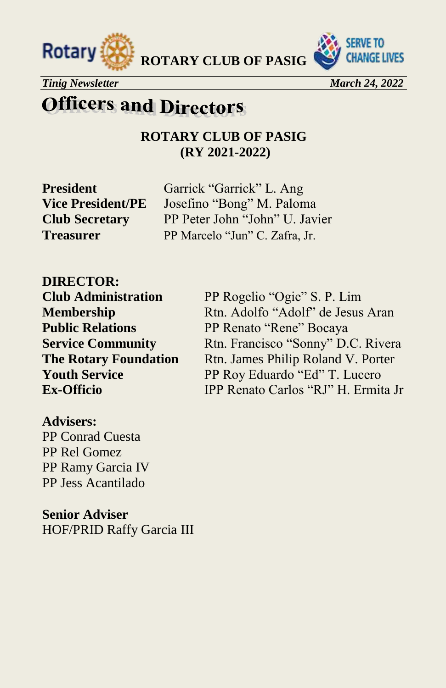



*Tinig Newsletter* March 24, 2022 *March 24, 2022* 

## **Officers and Directors**

**ROTARY CLUB OF PASIG (RY 2021-2022)**

**President** Garrick "Garrick" L. Ang **Vice President/PE** Josefino "Bong" M. Paloma **Club Secretary** PP Peter John "John" U. Javier **Treasurer** PP Marcelo "Jun" C. Zafra, Jr.

**DIRECTOR:** 

**Club Administration** PP Rogelio "Ogie" S. P. Lim **Membership** Rtn. Adolfo "Adolf" de Jesus Aran **Public Relations** PP Renato "Rene" Bocaya **Service Community** Rtn. Francisco "Sonny" D.C. Rivera **The Rotary Foundation** Rtn. James Philip Roland V. Porter **Youth Service** PP Roy Eduardo "Ed" T. Lucero **Ex-Officio** IPP Renato Carlos "RJ" H. Ermita Jr

#### **Advisers:**

PP Conrad Cuesta PP Rel Gomez PP Ramy Garcia IV PP Jess Acantilado

**Senior Adviser**  HOF/PRID Raffy Garcia III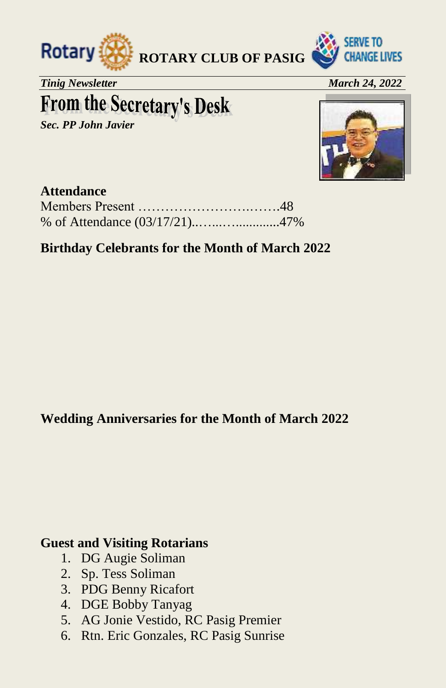



*Tinig Newsletter March 24, 2022* 

# **From the Secretary's Desk**

*Sec. PP John Javier* 



#### **Attendance**

#### **Birthday Celebrants for the Month of March 2022**

#### **Wedding Anniversaries for the Month of March 2022**

#### **Guest and Visiting Rotarians**

- 1. DG Augie Soliman
- 2. Sp. Tess Soliman
- 3. PDG Benny Ricafort
- 4. DGE Bobby Tanyag
- 5. AG Jonie Vestido, RC Pasig Premier
- 6. Rtn. Eric Gonzales, RC Pasig Sunrise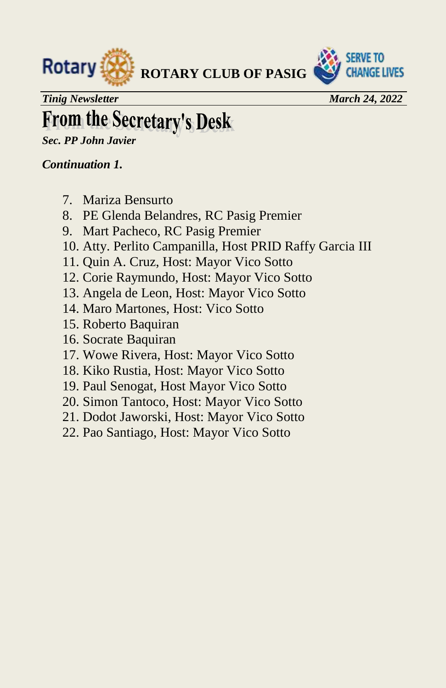



*Tinig Newsletter* March 24, 2022

# **From the Secretary's Desk**

*Sec. PP John Javier* 

#### *Continuation 1.*

- 7. Mariza Bensurto
- 8. PE Glenda Belandres, RC Pasig Premier
- 9. Mart Pacheco, RC Pasig Premier
- 10. Atty. Perlito Campanilla, Host PRID Raffy Garcia III
- 11. Quin A. Cruz, Host: Mayor Vico Sotto
- 12. Corie Raymundo, Host: Mayor Vico Sotto
- 13. Angela de Leon, Host: Mayor Vico Sotto
- 14. Maro Martones, Host: Vico Sotto
- 15. Roberto Baquiran
- 16. Socrate Baquiran
- 17. Wowe Rivera, Host: Mayor Vico Sotto
- 18. Kiko Rustia, Host: Mayor Vico Sotto
- 19. Paul Senogat, Host Mayor Vico Sotto
- 20. Simon Tantoco, Host: Mayor Vico Sotto
- 21. Dodot Jaworski, Host: Mayor Vico Sotto
- 22. Pao Santiago, Host: Mayor Vico Sotto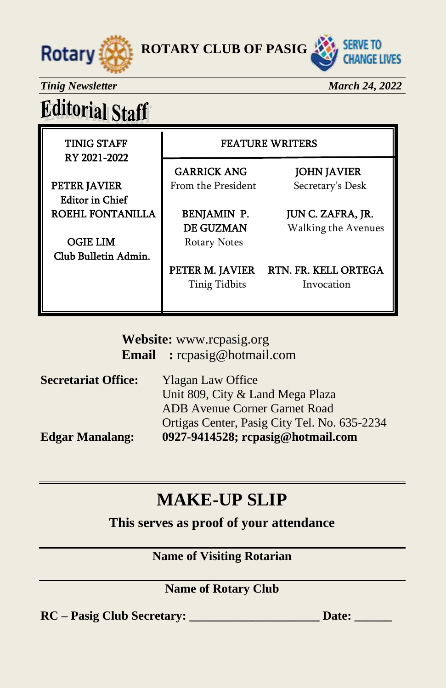



**Tinig Newsletter March 24, 2022** 

# **Editorial Staff**

RY 2021-2022

TINIG STAFF FEATURE WRITERS

GARRICK ANG JOHN JAVIER **PETER JAVIER** From the President Secretary's Desk

 Editor in Chief ROEHL FONTANILLA | BENJAMIN P. JUN C. ZAFRA, JR.

OGIE LIM Rotary Notes Club Bulletin Admin.

ׇ֖֬֕֕

DE GUZMAN Walking the Avenues

PETER M. JAVIER RTN. FR. KELL ORTEGA Tinig Tidbits Invocation

**Website:** [www.rcpasig.org](http://www.rcpasig.org/) **Email :** [rcpasig@hotmail.com](mailto:rcpasig@hotmail.com)

| <b>Secretariat Office:</b> | <b>Ylagan Law Office</b>                     |
|----------------------------|----------------------------------------------|
|                            | Unit 809, City & Land Mega Plaza             |
|                            | <b>ADB</b> Avenue Corner Garnet Road         |
|                            | Ortigas Center, Pasig City Tel. No. 635-2234 |
| <b>Edgar Manalang:</b>     | 0927-9414528; rcpasig@hotmail.com            |

#### **MAKE-UP SLIP**

**This serves as proof of your attendance**

#### **Name of Visiting Rotarian**

#### **Name of Rotary Club**

**RC – Pasig Club Secretary: \_\_\_\_\_\_\_\_\_\_\_\_\_\_\_\_\_\_\_\_\_ Date: \_\_\_\_\_\_**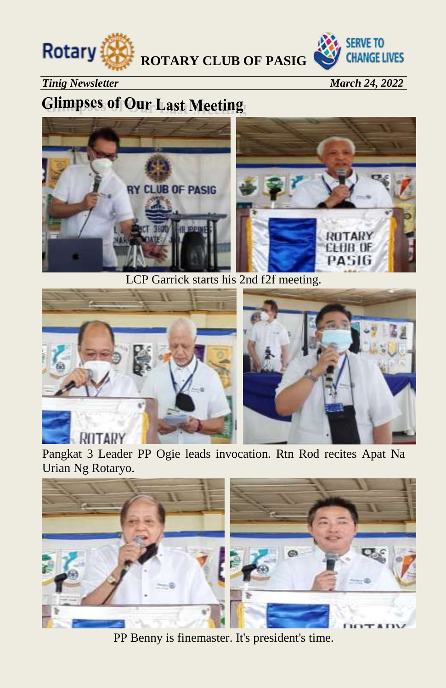



*Tinig Newsletter* March 24, 2022

### **Glimpses of Our Last Meeting**



LCP Garrick starts his 2nd f2f meeting.





#### ROTARY

Pangkat 3 Leader PP Ogie leads invocation. Rtn Rod recites Apat Na Urian Ng Rotaryo.



PP Benny is finemaster. It's president's time.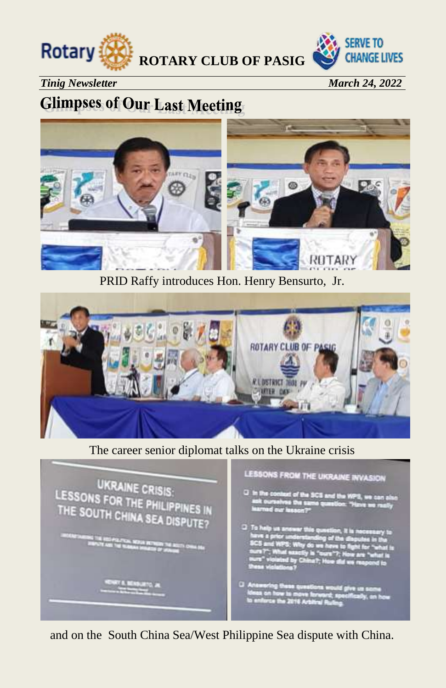



#### *Tinig Newsletter* March 24, 2022

#### **Glimpses of Our Last Meeting**



PRID Raffy introduces Hon. Henry Bensurto, Jr.



#### The career senior diplomat talks on the Ukraine crisis



and on the South China Sea/West Philippine Sea dispute with China.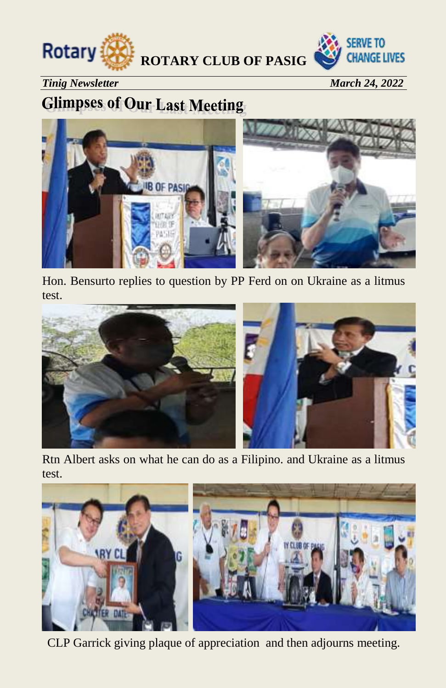



#### *Tinig Newsletter* March 24, 2022

#### **Glimpses of Our Last Meeting**



Hon. Bensurto replies to question by PP Ferd on on Ukraine as a litmus test.



Rtn Albert asks on what he can do as a Filipino. and Ukraine as a litmus test.



CLP Garrick giving plaque of appreciation and then adjourns meeting.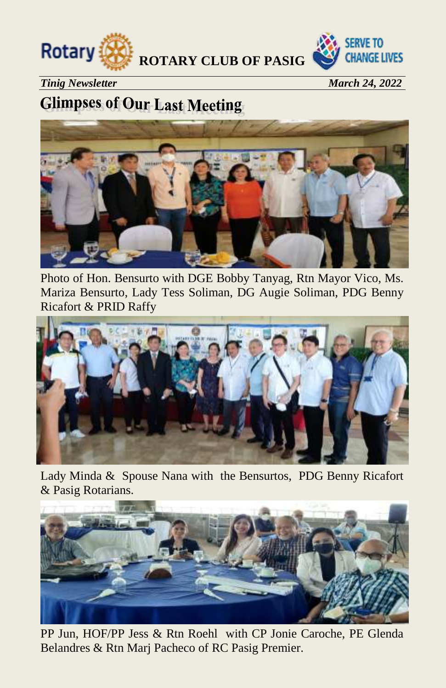



*Tinig Newsletter March 24, 2022* 

#### **Glimpses of Our Last Meeting**



Photo of Hon. Bensurto with DGE Bobby Tanyag, Rtn Mayor Vico, Ms. Mariza Bensurto, Lady Tess Soliman, DG Augie Soliman, PDG Benny Ricafort & PRID Raffy



Lady Minda & Spouse Nana with the Bensurtos, PDG Benny Ricafort & Pasig Rotarians.



PP Jun, HOF/PP Jess & Rtn Roehl with CP Jonie Caroche, PE Glenda Belandres & Rtn Marj Pacheco of RC Pasig Premier.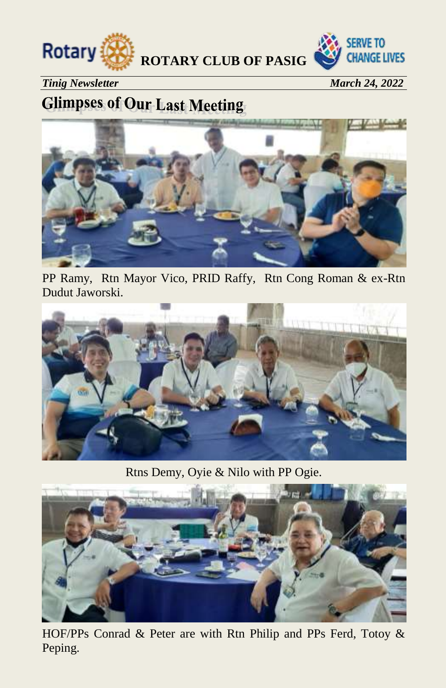



*Tinig Newsletter* March 24, 2022

### **Glimpses of Our Last Meeting**



PP Ramy, Rtn Mayor Vico, PRID Raffy, Rtn Cong Roman & ex-Rtn Dudut Jaworski.



Rtns Demy, Oyie & Nilo with PP Ogie.



HOF/PPs Conrad & Peter are with Rtn Philip and PPs Ferd, Totoy & Peping.